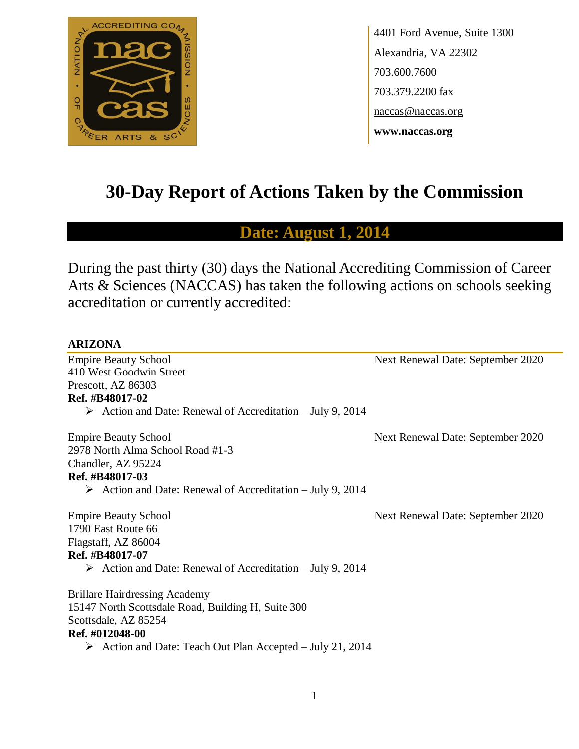

4401 Ford Avenue, Suite 1300 Alexandria, VA 22302 703.600.7600 703.379.2200 fax naccas@naccas.org **www.naccas.org**

# **30-Day Report of Actions Taken by the Commission**

## **Date: August 1, 2014**

During the past thirty (30) days the National Accrediting Commission of Career Arts & Sciences (NACCAS) has taken the following actions on schools seeking accreditation or currently accredited:

#### **ARIZONA**

Empire Beauty School Next Renewal Date: September 2020 410 West Goodwin Street Prescott, AZ 86303 **Ref. #B48017-02**  $\triangleright$  Action and Date: Renewal of Accreditation – July 9, 2014 Empire Beauty School Next Renewal Date: September 2020 2978 North Alma School Road #1-3 Chandler, AZ 95224 **Ref. #B48017-03**  $\triangleright$  Action and Date: Renewal of Accreditation – July 9, 2014 Empire Beauty School Next Renewal Date: September 2020 1790 East Route 66 Flagstaff, AZ 86004 **Ref. #B48017-07**  $\triangleright$  Action and Date: Renewal of Accreditation – July 9, 2014 Brillare Hairdressing Academy 15147 North Scottsdale Road, Building H, Suite 300 Scottsdale, AZ 85254 **Ref. #012048-00** Action and Date: Teach Out Plan Accepted – July 21, 2014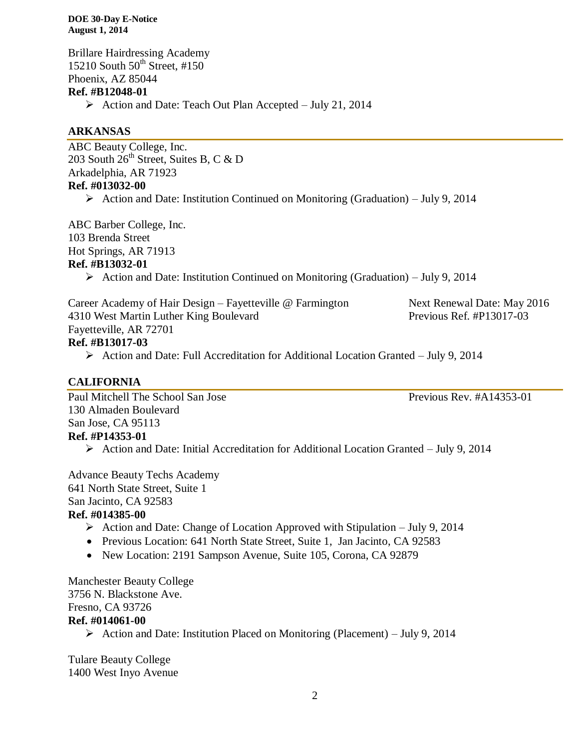Brillare Hairdressing Academy 15210 South  $50<sup>th</sup>$  Street, #150 Phoenix, AZ 85044 **Ref. #B12048-01**  $\triangleright$  Action and Date: Teach Out Plan Accepted – July 21, 2014

#### **ARKANSAS**

ABC Beauty College, Inc. 203 South 26<sup>th</sup> Street, Suites B, C & D Arkadelphia, AR 71923 **Ref. #013032-00** Action and Date: Institution Continued on Monitoring (Graduation) – July 9, 2014

ABC Barber College, Inc. 103 Brenda Street

Hot Springs, AR 71913

#### **Ref. #B13032-01**

Action and Date: Institution Continued on Monitoring (Graduation) – July 9, 2014

Career Academy of Hair Design – Fayetteville @ Farmington Next Renewal Date: May 2016 4310 West Martin Luther King Boulevard Previous Ref. #P13017-03 Fayetteville, AR 72701 **Ref. #B13017-03**

Action and Date: Full Accreditation for Additional Location Granted – July 9, 2014

### **CALIFORNIA**

Paul Mitchell The School San Jose Previous Rev. #A14353-01 130 Almaden Boulevard San Jose, CA 95113 **Ref. #P14353-01** Action and Date: Initial Accreditation for Additional Location Granted – July 9, 2014

## Advance Beauty Techs Academy 641 North State Street, Suite 1 San Jacinto, CA 92583

### **Ref. #014385-00**

- Action and Date: Change of Location Approved with Stipulation July 9, 2014
- Previous Location: 641 North State Street, Suite 1, Jan Jacinto, CA 92583
- New Location: 2191 Sampson Avenue, Suite 105, Corona, CA 92879

Manchester Beauty College 3756 N. Blackstone Ave. Fresno, CA 93726 **Ref. #014061-00**  $\triangleright$  Action and Date: Institution Placed on Monitoring (Placement) – July 9, 2014

Tulare Beauty College 1400 West Inyo Avenue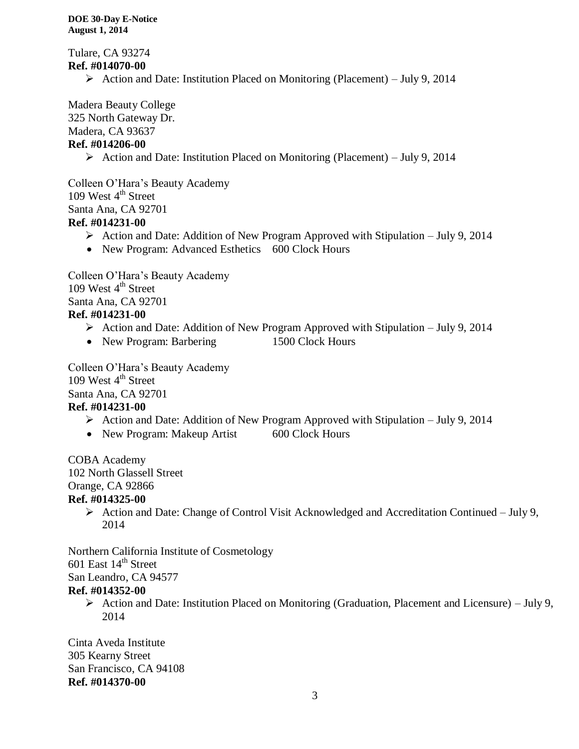Tulare, CA 93274 **Ref. #014070-00**

Action and Date: Institution Placed on Monitoring (Placement) – July 9, 2014

Madera Beauty College 325 North Gateway Dr.

Madera, CA 93637

### **Ref. #014206-00**

Action and Date: Institution Placed on Monitoring (Placement) – July 9, 2014

Colleen O'Hara's Beauty Academy 109 West  $4<sup>th</sup>$  Street Santa Ana, CA 92701 **Ref. #014231-00**

- $\triangleright$  Action and Date: Addition of New Program Approved with Stipulation July 9, 2014
- New Program: Advanced Esthetics 600 Clock Hours

Colleen O'Hara's Beauty Academy 109 West  $4<sup>th</sup>$  Street Santa Ana, CA 92701 **Ref. #014231-00**

- $\triangleright$  Action and Date: Addition of New Program Approved with Stipulation July 9, 2014
- New Program: Barbering 1500 Clock Hours

Colleen O'Hara's Beauty Academy 109 West  $4<sup>th</sup>$  Street Santa Ana, CA 92701 **Ref. #014231-00**

- $\triangleright$  Action and Date: Addition of New Program Approved with Stipulation July 9, 2014
- New Program: Makeup Artist 600 Clock Hours

COBA Academy 102 North Glassell Street Orange, CA 92866

### **Ref. #014325-00**

 $\triangleright$  Action and Date: Change of Control Visit Acknowledged and Accreditation Continued – July 9, 2014

Northern California Institute of Cosmetology

601 East  $14<sup>th</sup>$  Street

San Leandro, CA 94577

### **Ref. #014352-00**

 $\triangleright$  Action and Date: Institution Placed on Monitoring (Graduation, Placement and Licensure) – July 9, 2014

Cinta Aveda Institute 305 Kearny Street San Francisco, CA 94108 **Ref. #014370-00**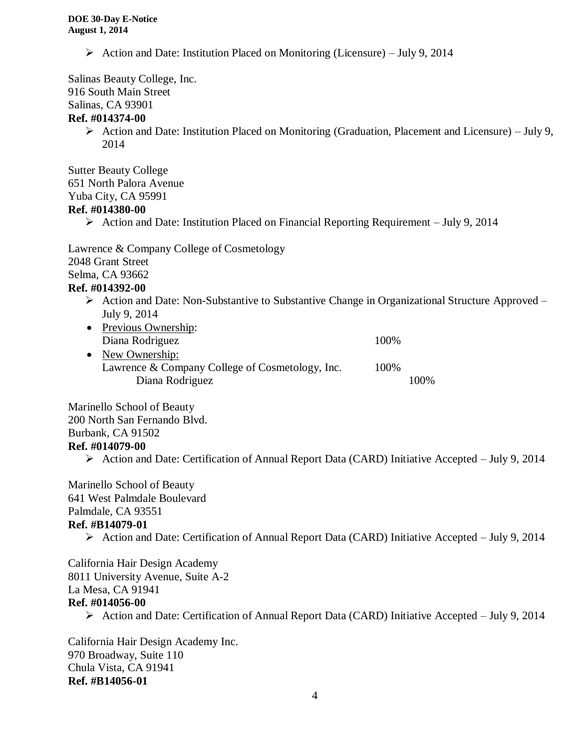Action and Date: Institution Placed on Monitoring (Licensure) – July 9, 2014

Salinas Beauty College, Inc. 916 South Main Street Salinas, CA 93901

### **Ref. #014374-00**

 $\triangleright$  Action and Date: Institution Placed on Monitoring (Graduation, Placement and Licensure) – July 9, 2014

Sutter Beauty College 651 North Palora Avenue Yuba City, CA 95991

#### **Ref. #014380-00**

 $\triangleright$  Action and Date: Institution Placed on Financial Reporting Requirement – July 9, 2014

Lawrence & Company College of Cosmetology 2048 Grant Street Selma, CA 93662

### **Ref. #014392-00**

- $\triangleright$  Action and Date: Non-Substantive to Substantive Change in Organizational Structure Approved July 9, 2014
- Previous Ownership: Diana Rodriguez 100%
- New Ownership: Lawrence & Company College of Cosmetology, Inc. 100% Diana Rodriguez 100%

Marinello School of Beauty 200 North San Fernando Blvd. Burbank, CA 91502 **Ref. #014079-00**

Action and Date: Certification of Annual Report Data (CARD) Initiative Accepted – July 9, 2014

Marinello School of Beauty 641 West Palmdale Boulevard Palmdale, CA 93551

#### **Ref. #B14079-01**

Action and Date: Certification of Annual Report Data (CARD) Initiative Accepted – July 9, 2014

California Hair Design Academy 8011 University Avenue, Suite A-2 La Mesa, CA 91941 **Ref. #014056-00**

 $\triangleright$  Action and Date: Certification of Annual Report Data (CARD) Initiative Accepted – July 9, 2014

California Hair Design Academy Inc. 970 Broadway, Suite 110 Chula Vista, CA 91941 **Ref. #B14056-01**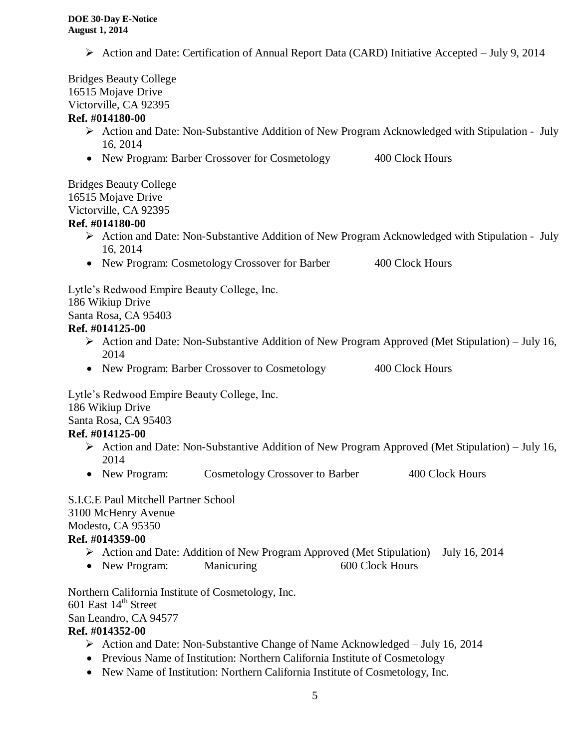Action and Date: Certification of Annual Report Data (CARD) Initiative Accepted – July 9, 2014

Bridges Beauty College 16515 Mojave Drive Victorville, CA 92395 **Ref. #014180-00**

### $\triangleright$  Action and Date: Non-Substantive Addition of New Program Acknowledged with Stipulation - July 16, 2014

• New Program: Barber Crossover for Cosmetology 400 Clock Hours

Bridges Beauty College 16515 Mojave Drive Victorville, CA 92395

### **Ref. #014180-00**

- Action and Date: Non-Substantive Addition of New Program Acknowledged with Stipulation July 16, 2014
- New Program: Cosmetology Crossover for Barber 400 Clock Hours

Lytle's Redwood Empire Beauty College, Inc.

186 Wikiup Drive

Santa Rosa, CA 95403

### **Ref. #014125-00**

- $\triangleright$  Action and Date: Non-Substantive Addition of New Program Approved (Met Stipulation) July 16, 2014
- New Program: Barber Crossover to Cosmetology 400 Clock Hours

Lytle's Redwood Empire Beauty College, Inc.

186 Wikiup Drive

Santa Rosa, CA 95403

### **Ref. #014125-00**

- $\triangleright$  Action and Date: Non-Substantive Addition of New Program Approved (Met Stipulation) July 16, 2014
- New Program: Cosmetology Crossover to Barber 400 Clock Hours

S.I.C.E Paul Mitchell Partner School 3100 McHenry Avenue Modesto, CA 95350 **Ref. #014359-00**

- $\triangleright$  Action and Date: Addition of New Program Approved (Met Stipulation) July 16, 2014
- New Program: Manicuring 600 Clock Hours

Northern California Institute of Cosmetology, Inc. 601 East 14<sup>th</sup> Street

San Leandro, CA 94577

### **Ref. #014352-00**

- $\triangleright$  Action and Date: Non-Substantive Change of Name Acknowledged July 16, 2014
- Previous Name of Institution: Northern California Institute of Cosmetology
- New Name of Institution: Northern California Institute of Cosmetology, Inc.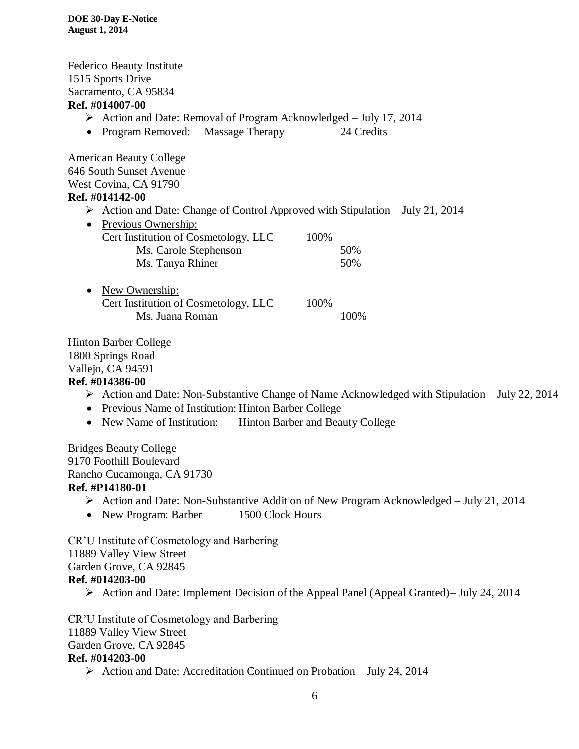Federico Beauty Institute 1515 Sports Drive Sacramento, CA 95834 **Ref. #014007-00**  $\triangleright$  Action and Date: Removal of Program Acknowledged – July 17, 2014 • Program Removed: Massage Therapy 24 Credits

American Beauty College 646 South Sunset Avenue West Covina, CA 91790 **Ref. #014142-00**

 $\triangleright$  Action and Date: Change of Control Approved with Stipulation – July 21, 2014

| • Previous Ownership:                |      |     |
|--------------------------------------|------|-----|
| Cert Institution of Cosmetology, LLC | 100% |     |
| Ms. Carole Stephenson                |      | 50% |
| Ms. Tanya Rhiner                     |      | 50% |

• New Ownership: Cert Institution of Cosmetology, LLC 100% Ms. Juana Roman 100%

Hinton Barber College 1800 Springs Road Vallejo, CA 94591

### **Ref. #014386-00**

- $\triangleright$  Action and Date: Non-Substantive Change of Name Acknowledged with Stipulation July 22, 2014
- Previous Name of Institution: Hinton Barber College
- New Name of Institution: Hinton Barber and Beauty College

Bridges Beauty College 9170 Foothill Boulevard Rancho Cucamonga, CA 91730 **Ref. #P14180-01**

- Action and Date: Non-Substantive Addition of New Program Acknowledged July 21, 2014
- New Program: Barber 1500 Clock Hours

CR'U Institute of Cosmetology and Barbering 11889 Valley View Street Garden Grove, CA 92845 **Ref. #014203-00**

Action and Date: Implement Decision of the Appeal Panel (Appeal Granted)– July 24, 2014

CR'U Institute of Cosmetology and Barbering 11889 Valley View Street Garden Grove, CA 92845 **Ref. #014203-00**

 $\triangleright$  Action and Date: Accreditation Continued on Probation – July 24, 2014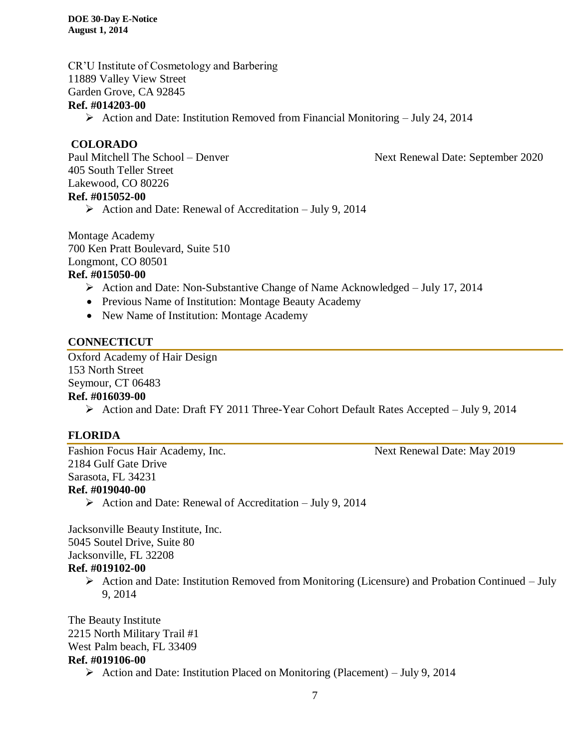CR'U Institute of Cosmetology and Barbering 11889 Valley View Street Garden Grove, CA 92845

#### **Ref. #014203-00**

 $\triangleright$  Action and Date: Institution Removed from Financial Monitoring – July 24, 2014

#### **COLORADO**

Paul Mitchell The School – Denver Next Renewal Date: September 2020 405 South Teller Street Lakewood, CO 80226 **Ref. #015052-00**

 $\triangleright$  Action and Date: Renewal of Accreditation – July 9, 2014

Montage Academy 700 Ken Pratt Boulevard, Suite 510 Longmont, CO 80501

## **Ref. #015050-00**

- $\triangleright$  Action and Date: Non-Substantive Change of Name Acknowledged July 17, 2014
- Previous Name of Institution: Montage Beauty Academy
- New Name of Institution: Montage Academy

### **CONNECTICUT**

Oxford Academy of Hair Design 153 North Street Seymour, CT 06483 **Ref. #016039-00**

Action and Date: Draft FY 2011 Three-Year Cohort Default Rates Accepted – July 9, 2014

### **FLORIDA**

Fashion Focus Hair Academy, Inc. Next Renewal Date: May 2019 2184 Gulf Gate Drive Sarasota, FL 34231 **Ref. #019040-00**

 $\triangleright$  Action and Date: Renewal of Accreditation – July 9, 2014

Jacksonville Beauty Institute, Inc. 5045 Soutel Drive, Suite 80 Jacksonville, FL 32208

- **Ref. #019102-00**
	- $\triangleright$  Action and Date: Institution Removed from Monitoring (Licensure) and Probation Continued July 9, 2014

The Beauty Institute 2215 North Military Trail #1 West Palm beach, FL 33409 **Ref. #019106-00**

Action and Date: Institution Placed on Monitoring (Placement) – July 9, 2014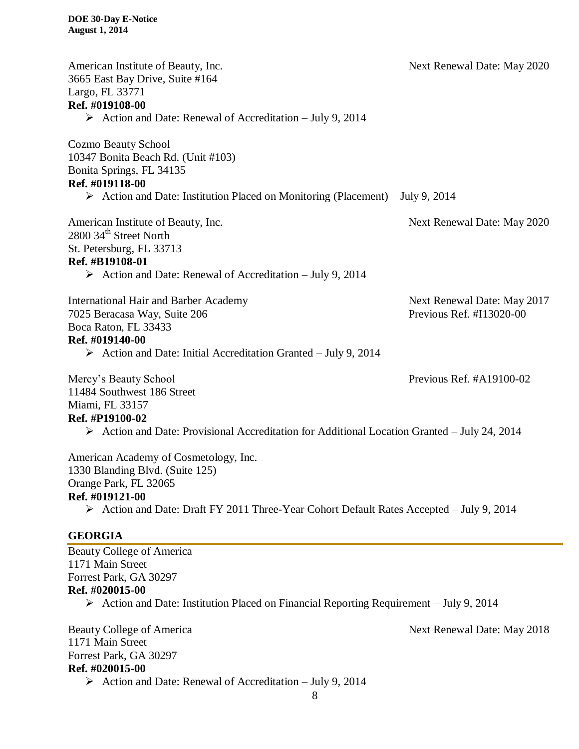| American Institute of Beauty, Inc.<br>3665 East Bay Drive, Suite #164<br>Largo, FL 33771<br>Ref. #019108-00                                                                                                                     | Next Renewal Date: May 2020                             |
|---------------------------------------------------------------------------------------------------------------------------------------------------------------------------------------------------------------------------------|---------------------------------------------------------|
| $\triangleright$ Action and Date: Renewal of Accreditation – July 9, 2014                                                                                                                                                       |                                                         |
| Cozmo Beauty School<br>10347 Bonita Beach Rd. (Unit #103)<br>Bonita Springs, FL 34135<br>Ref. #019118-00<br>$\triangleright$ Action and Date: Institution Placed on Monitoring (Placement) – July 9, 2014                       |                                                         |
| American Institute of Beauty, Inc.<br>2800 34 <sup>th</sup> Street North<br>St. Petersburg, FL 33713<br>Ref. #B19108-01<br>$\triangleright$ Action and Date: Renewal of Accreditation – July 9, 2014                            | Next Renewal Date: May 2020                             |
| <b>International Hair and Barber Academy</b><br>7025 Beracasa Way, Suite 206<br>Boca Raton, FL 33433<br>Ref. #019140-00<br>$\triangleright$ Action and Date: Initial Accreditation Granted – July 9, 2014                       | Next Renewal Date: May 2017<br>Previous Ref. #I13020-00 |
| Mercy's Beauty School<br>11484 Southwest 186 Street<br>Miami, FL 33157<br>Ref. #P19100-02<br>$\triangleright$ Action and Date: Provisional Accreditation for Additional Location Granted – July 24, 2014                        | Previous Ref. #A19100-02                                |
| American Academy of Cosmetology, Inc.<br>1330 Blanding Blvd. (Suite 125)<br>Orange Park, FL 32065<br>Ref. #019121-00<br>$\triangleright$ Action and Date: Draft FY 2011 Three-Year Cohort Default Rates Accepted – July 9, 2014 |                                                         |
| <b>GEORGIA</b>                                                                                                                                                                                                                  |                                                         |
| <b>Beauty College of America</b><br>1171 Main Street<br>Forrest Park, GA 30297<br>Ref. #020015-00<br>$\triangleright$ Action and Date: Institution Placed on Financial Reporting Requirement – July 9, 2014                     |                                                         |
| <b>Beauty College of America</b><br>1171 Main Street<br>Forrest Park, GA 30297                                                                                                                                                  | Next Renewal Date: May 2018                             |

## **Ref. #020015-00**

Action and Date: Renewal of Accreditation – July 9, 2014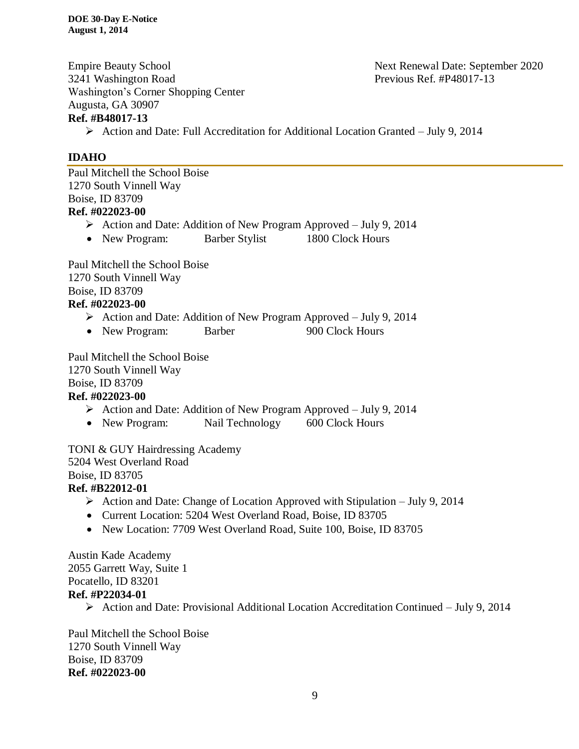Empire Beauty School Next Renewal Date: September 2020 3241 Washington Road Previous Ref. #P48017-13 Washington's Corner Shopping Center Augusta, GA 30907 **Ref. #B48017-13**

 $\triangleright$  Action and Date: Full Accreditation for Additional Location Granted – July 9, 2014

### **IDAHO**

Paul Mitchell the School Boise 1270 South Vinnell Way Boise, ID 83709 **Ref. #022023-00**

- Action and Date: Addition of New Program Approved July 9, 2014
- New Program: Barber Stylist 1800 Clock Hours

Paul Mitchell the School Boise 1270 South Vinnell Way Boise, ID 83709 **Ref. #022023-00**

- $\triangleright$  Action and Date: Addition of New Program Approved July 9, 2014
- New Program: Barber 900 Clock Hours

Paul Mitchell the School Boise 1270 South Vinnell Way Boise, ID 83709

### **Ref. #022023-00**

- $\triangleright$  Action and Date: Addition of New Program Approved July 9, 2014
- New Program: Nail Technology 600 Clock Hours

TONI & GUY Hairdressing Academy 5204 West Overland Road Boise, ID 83705 **Ref. #B22012-01**

- $\triangleright$  Action and Date: Change of Location Approved with Stipulation July 9, 2014
- Current Location: 5204 West Overland Road, Boise, ID 83705
- New Location: 7709 West Overland Road, Suite 100, Boise, ID 83705

Austin Kade Academy 2055 Garrett Way, Suite 1 Pocatello, ID 83201 **Ref. #P22034-01**

 $\triangleright$  Action and Date: Provisional Additional Location Accreditation Continued – July 9, 2014

Paul Mitchell the School Boise 1270 South Vinnell Way Boise, ID 83709 **Ref. #022023-00**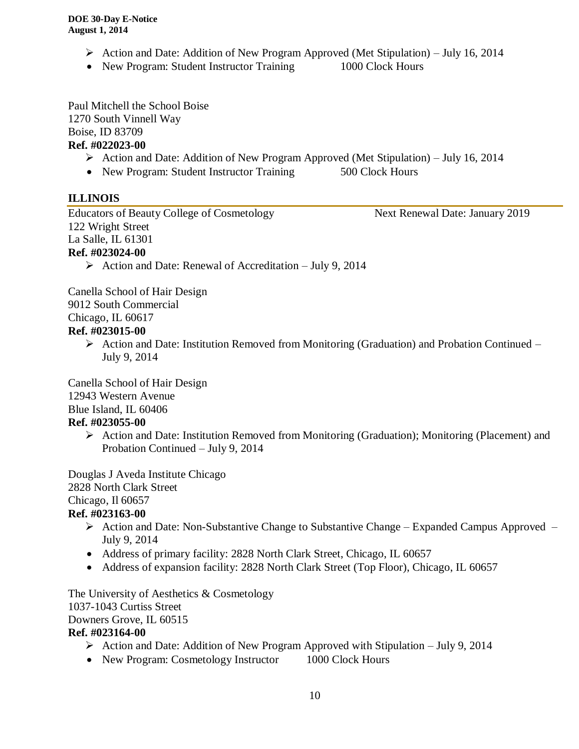- Action and Date: Addition of New Program Approved (Met Stipulation) July 16, 2014
- New Program: Student Instructor Training 1000 Clock Hours

Paul Mitchell the School Boise 1270 South Vinnell Way Boise, ID 83709

### **Ref. #022023-00**

- $\triangleright$  Action and Date: Addition of New Program Approved (Met Stipulation) July 16, 2014
- New Program: Student Instructor Training 500 Clock Hours

### **ILLINOIS**

Educators of Beauty College of Cosmetology Next Renewal Date: January 2019 122 Wright Street La Salle, IL 61301 **Ref. #023024-00**

 $\triangleright$  Action and Date: Renewal of Accreditation – July 9, 2014

Canella School of Hair Design 9012 South Commercial

Chicago, IL 60617

### **Ref. #023015-00**

 $\triangleright$  Action and Date: Institution Removed from Monitoring (Graduation) and Probation Continued – July 9, 2014

Canella School of Hair Design

12943 Western Avenue

Blue Island, IL 60406

### **Ref. #023055-00**

 Action and Date: Institution Removed from Monitoring (Graduation); Monitoring (Placement) and Probation Continued – July 9, 2014

Douglas J Aveda Institute Chicago 2828 North Clark Street Chicago, Il 60657

### **Ref. #023163-00**

- $\triangleright$  Action and Date: Non-Substantive Change to Substantive Change Expanded Campus Approved July 9, 2014
- Address of primary facility: 2828 North Clark Street, Chicago, IL 60657
- Address of expansion facility: 2828 North Clark Street (Top Floor), Chicago, IL 60657

The University of Aesthetics & Cosmetology 1037-1043 Curtiss Street Downers Grove, IL 60515

### **Ref. #023164-00**

- Action and Date: Addition of New Program Approved with Stipulation July 9, 2014
- New Program: Cosmetology Instructor 1000 Clock Hours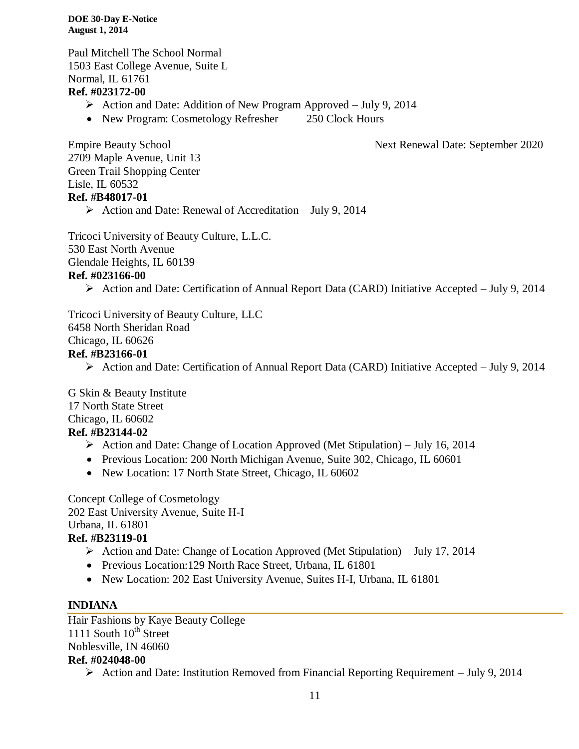Paul Mitchell The School Normal 1503 East College Avenue, Suite L Normal, IL 61761 **Ref. #023172-00**

- $\triangleright$  Action and Date: Addition of New Program Approved July 9, 2014
- New Program: Cosmetology Refresher 250 Clock Hours

Empire Beauty School Next Renewal Date: September 2020

2709 Maple Avenue, Unit 13 Green Trail Shopping Center Lisle, IL 60532 **Ref. #B48017-01**

Action and Date: Renewal of Accreditation – July 9, 2014

Tricoci University of Beauty Culture, L.L.C. 530 East North Avenue Glendale Heights, IL 60139 **Ref. #023166-00**

 $\triangleright$  Action and Date: Certification of Annual Report Data (CARD) Initiative Accepted – July 9, 2014

Tricoci University of Beauty Culture, LLC 6458 North Sheridan Road Chicago, IL 60626 **Ref. #B23166-01**

Action and Date: Certification of Annual Report Data (CARD) Initiative Accepted – July 9, 2014

G Skin & Beauty Institute 17 North State Street Chicago, IL 60602 **Ref. #B23144-02**

- Action and Date: Change of Location Approved (Met Stipulation) July 16, 2014
- Previous Location: 200 North Michigan Avenue, Suite 302, Chicago, IL 60601
- New Location: 17 North State Street, Chicago, IL 60602

Concept College of Cosmetology 202 East University Avenue, Suite H-I Urbana, IL 61801 **Ref. #B23119-01**

- $\triangleright$  Action and Date: Change of Location Approved (Met Stipulation) July 17, 2014
- Previous Location: 129 North Race Street, Urbana, IL 61801
- New Location: 202 East University Avenue, Suites H-I, Urbana, IL 61801

### **INDIANA**

Hair Fashions by Kaye Beauty College 1111 South  $10^{th}$  Street Noblesville, IN 46060 **Ref. #024048-00**

Action and Date: Institution Removed from Financial Reporting Requirement – July 9, 2014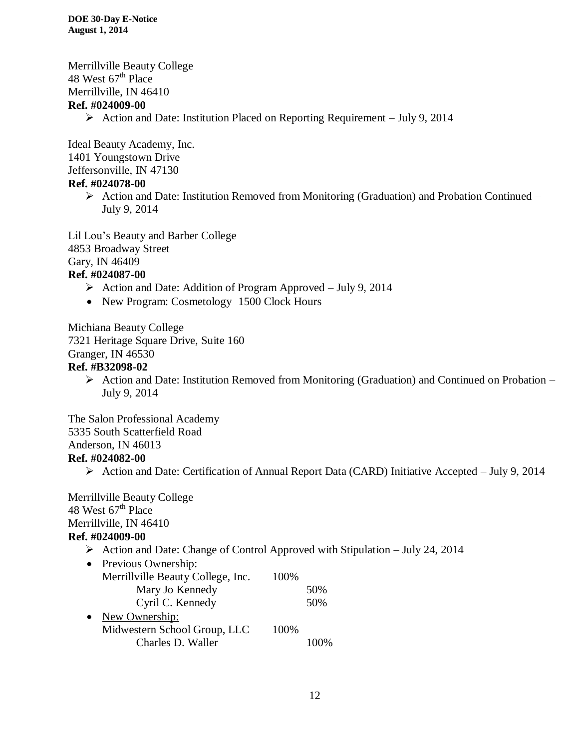Merrillville Beauty College 48 West  $67<sup>th</sup>$  Place Merrillville, IN 46410 **Ref. #024009-00**

 $\triangleright$  Action and Date: Institution Placed on Reporting Requirement – July 9, 2014

Ideal Beauty Academy, Inc. 1401 Youngstown Drive Jeffersonville, IN 47130

### **Ref. #024078-00**

 $\triangleright$  Action and Date: Institution Removed from Monitoring (Graduation) and Probation Continued – July 9, 2014

Lil Lou's Beauty and Barber College 4853 Broadway Street Gary, IN 46409 **Ref. #024087-00**

- $\triangleright$  Action and Date: Addition of Program Approved July 9, 2014
- New Program: Cosmetology 1500 Clock Hours

Michiana Beauty College 7321 Heritage Square Drive, Suite 160 Granger, IN 46530

#### **Ref. #B32098-02**

 $\triangleright$  Action and Date: Institution Removed from Monitoring (Graduation) and Continued on Probation – July 9, 2014

The Salon Professional Academy 5335 South Scatterfield Road Anderson, IN 46013 **Ref. #024082-00**

Action and Date: Certification of Annual Report Data (CARD) Initiative Accepted – July 9, 2014

Merrillville Beauty College 48 West  $67<sup>th</sup>$  Place Merrillville, IN 46410 **Ref. #024009-00**

 $\triangleright$  Action and Date: Change of Control Approved with Stipulation – July 24, 2014

| $\bullet$ | Previous Ownership:               |      |     |
|-----------|-----------------------------------|------|-----|
|           | Merrillville Beauty College, Inc. | 100% |     |
|           | Mary Jo Kennedy                   |      | 50% |
|           | Cyril C. Kennedy                  |      | 50% |
|           | New Ownership:                    |      |     |
|           | Midwestern School Group, LLC      | 100% |     |
|           | Charles D. Waller                 |      |     |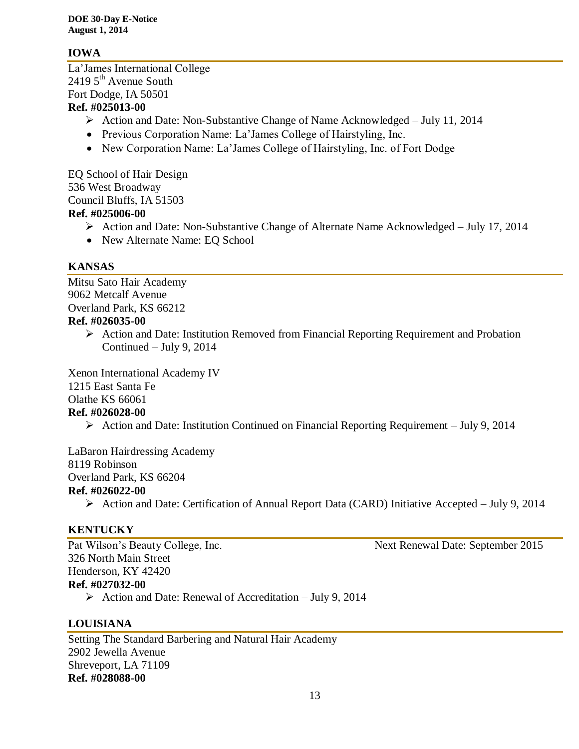### **IOWA**

La'James International College  $24195$ <sup>th</sup> Avenue South Fort Dodge, IA 50501 **Ref. #025013-00**

- Action and Date: Non-Substantive Change of Name Acknowledged July 11, 2014
- Previous Corporation Name: La'James College of Hairstyling, Inc.
- New Corporation Name: La'James College of Hairstyling, Inc. of Fort Dodge

EQ School of Hair Design 536 West Broadway Council Bluffs, IA 51503 **Ref. #025006-00**

- Action and Date: Non-Substantive Change of Alternate Name Acknowledged July 17, 2014
- New Alternate Name: EQ School

### **KANSAS**

Mitsu Sato Hair Academy 9062 Metcalf Avenue Overland Park, KS 66212 **Ref. #026035-00**

> $\triangleright$  Action and Date: Institution Removed from Financial Reporting Requirement and Probation Continued – July 9, 2014

Xenon International Academy IV 1215 East Santa Fe Olathe KS 66061

#### **Ref. #026028-00**

 $\triangleright$  Action and Date: Institution Continued on Financial Reporting Requirement – July 9, 2014

LaBaron Hairdressing Academy 8119 Robinson Overland Park, KS 66204 **Ref. #026022-00**

Action and Date: Certification of Annual Report Data (CARD) Initiative Accepted – July 9, 2014

### **KENTUCKY**

Pat Wilson's Beauty College, Inc. Next Renewal Date: September 2015 326 North Main Street Henderson, KY 42420 **Ref. #027032-00**

Action and Date: Renewal of Accreditation – July 9, 2014

### **LOUISIANA**

Setting The Standard Barbering and Natural Hair Academy 2902 Jewella Avenue Shreveport, LA 71109 **Ref. #028088-00**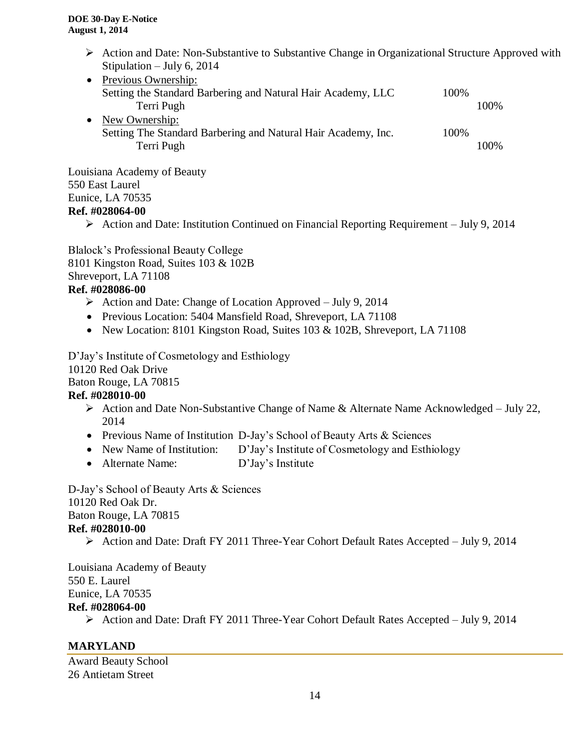- $\triangleright$  Action and Date: Non-Substantive to Substantive Change in Organizational Structure Approved with Stipulation – July 6, 2014
- Previous Ownership: Setting the Standard Barbering and Natural Hair Academy, LLC 100% Terri Pugh 100% • New Ownership: Setting The Standard Barbering and Natural Hair Academy, Inc. 100% Terri Pugh 100%

Louisiana Academy of Beauty 550 East Laurel Eunice, LA 70535 **Ref. #028064-00**

 $\triangleright$  Action and Date: Institution Continued on Financial Reporting Requirement – July 9, 2014

Blalock's Professional Beauty College 8101 Kingston Road, Suites 103 & 102B Shreveport, LA 71108

### **Ref. #028086-00**

- $\triangleright$  Action and Date: Change of Location Approved July 9, 2014
- Previous Location: 5404 Mansfield Road, Shreveport, LA 71108
- New Location: 8101 Kingston Road, Suites 103 & 102B, Shreveport, LA 71108

D'Jay's Institute of Cosmetology and Esthiology 10120 Red Oak Drive Baton Rouge, LA 70815 **Ref. #028010-00**

- Action and Date Non-Substantive Change of Name & Alternate Name Acknowledged July 22, 2014
- Previous Name of Institution D-Jay's School of Beauty Arts & Sciences
- New Name of Institution: D'Jay's Institute of Cosmetology and Esthiology
- Alternate Name: D'Jay's Institute

D-Jay's School of Beauty Arts & Sciences 10120 Red Oak Dr. Baton Rouge, LA 70815 **Ref. #028010-00**

Action and Date: Draft FY 2011 Three-Year Cohort Default Rates Accepted – July 9, 2014

Louisiana Academy of Beauty 550 E. Laurel Eunice, LA 70535 **Ref. #028064-00**

Action and Date: Draft FY 2011 Three-Year Cohort Default Rates Accepted – July 9, 2014

### **MARYLAND**

Award Beauty School 26 Antietam Street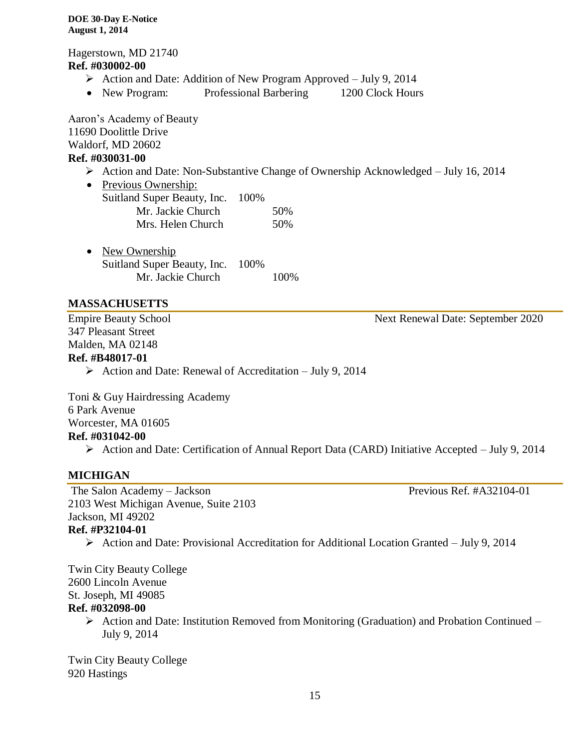Hagerstown, MD 21740 **Ref. #030002-00**

- $\triangleright$  Action and Date: Addition of New Program Approved July 9, 2014
- New Program: Professional Barbering 1200 Clock Hours

Aaron's Academy of Beauty 11690 Doolittle Drive Waldorf, MD 20602 **Ref. #030031-00**

- $\triangleright$  Action and Date: Non-Substantive Change of Ownership Acknowledged July 16, 2014
- Previous Ownership: Suitland Super Beauty, Inc. 100% Mr. Jackie Church 50% Mrs. Helen Church 50%

• New Ownership Suitland Super Beauty, Inc. 100% Mr. Jackie Church 100%

### **MASSACHUSETTS**

Empire Beauty School Next Renewal Date: September 2020 347 Pleasant Street Malden, MA 02148

#### **Ref. #B48017-01**

 $\triangleright$  Action and Date: Renewal of Accreditation – July 9, 2014

Toni & Guy Hairdressing Academy 6 Park Avenue Worcester, MA 01605 **Ref. #031042-00**

Action and Date: Certification of Annual Report Data (CARD) Initiative Accepted – July 9, 2014

### **MICHIGAN**

The Salon Academy – Jackson Previous Ref. #A32104-01 2103 West Michigan Avenue, Suite 2103 Jackson, MI 49202

- **Ref. #P32104-01**
	- Action and Date: Provisional Accreditation for Additional Location Granted July 9, 2014

Twin City Beauty College 2600 Lincoln Avenue St. Joseph, MI 49085 **Ref. #032098-00**

> $\triangleright$  Action and Date: Institution Removed from Monitoring (Graduation) and Probation Continued – July 9, 2014

Twin City Beauty College 920 Hastings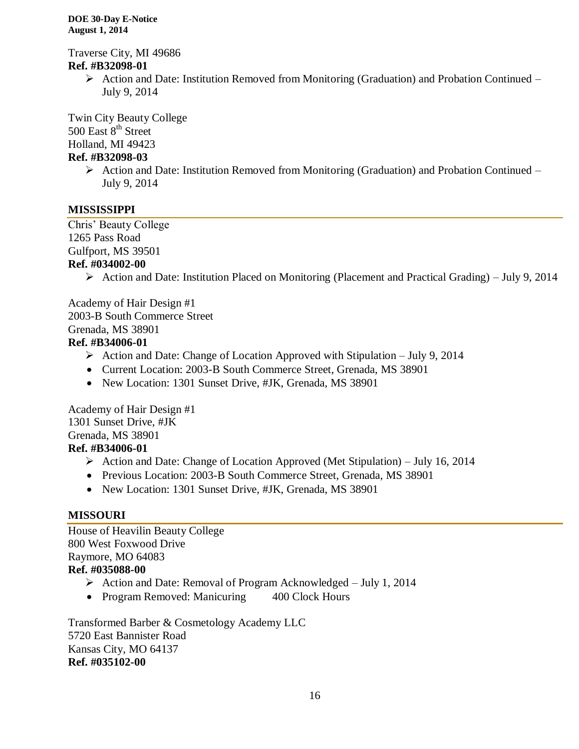Traverse City, MI 49686 **Ref. #B32098-01**

> Action and Date: Institution Removed from Monitoring (Graduation) and Probation Continued – July 9, 2014

Twin City Beauty College 500 East 8<sup>th</sup> Street Holland, MI 49423

### **Ref. #B32098-03**

 $\triangleright$  Action and Date: Institution Removed from Monitoring (Graduation) and Probation Continued – July 9, 2014

#### **MISSISSIPPI**

Chris' Beauty College 1265 Pass Road Gulfport, MS 39501

#### **Ref. #034002-00**

Action and Date: Institution Placed on Monitoring (Placement and Practical Grading) – July 9, 2014

Academy of Hair Design #1 2003-B South Commerce Street Grenada, MS 38901

#### **Ref. #B34006-01**

- $\triangleright$  Action and Date: Change of Location Approved with Stipulation July 9, 2014
- Current Location: 2003-B South Commerce Street, Grenada, MS 38901
- New Location: 1301 Sunset Drive, #JK, Grenada, MS 38901

Academy of Hair Design #1 1301 Sunset Drive, #JK Grenada, MS 38901 **Ref. #B34006-01**

- Action and Date: Change of Location Approved (Met Stipulation) July 16, 2014
- Previous Location: 2003-B South Commerce Street, Grenada, MS 38901
- New Location: 1301 Sunset Drive, #JK, Grenada, MS 38901

#### **MISSOURI**

House of Heavilin Beauty College 800 West Foxwood Drive Raymore, MO 64083 **Ref. #035088-00**

- $\triangleright$  Action and Date: Removal of Program Acknowledged July 1, 2014
- Program Removed: Manicuring 400 Clock Hours

Transformed Barber & Cosmetology Academy LLC 5720 East Bannister Road Kansas City, MO 64137 **Ref. #035102-00**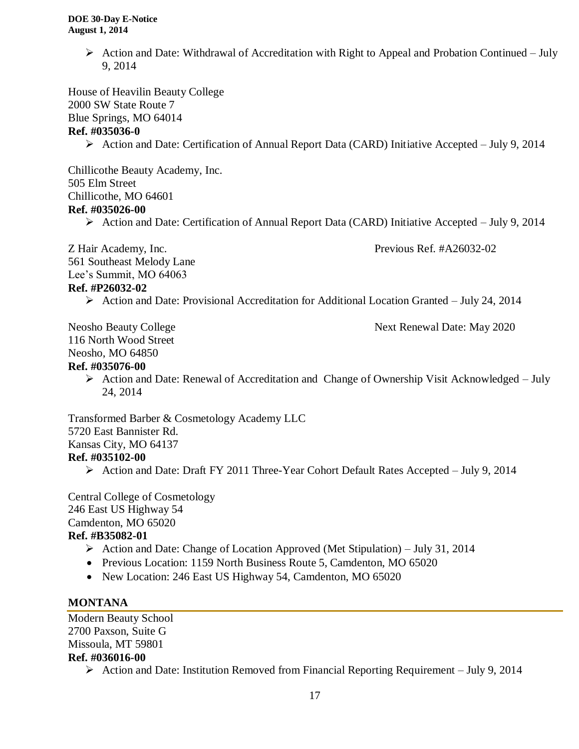$\triangleright$  Action and Date: Withdrawal of Accreditation with Right to Appeal and Probation Continued – July 9, 2014

House of Heavilin Beauty College 2000 SW State Route 7 Blue Springs, MO 64014 **Ref. #035036-0**

 $\triangleright$  Action and Date: Certification of Annual Report Data (CARD) Initiative Accepted – July 9, 2014

Chillicothe Beauty Academy, Inc. 505 Elm Street Chillicothe, MO 64601

#### **Ref. #035026-00**

 $\triangleright$  Action and Date: Certification of Annual Report Data (CARD) Initiative Accepted – July 9, 2014

Z Hair Academy, Inc. Previous Ref. #A26032-02 561 Southeast Melody Lane Lee's Summit, MO 64063

#### **Ref. #P26032-02**

Action and Date: Provisional Accreditation for Additional Location Granted – July 24, 2014

Neosho Beauty College Next Renewal Date: May 2020 116 North Wood Street Neosho, MO 64850

### **Ref. #035076-00**

 $\triangleright$  Action and Date: Renewal of Accreditation and Change of Ownership Visit Acknowledged – July 24, 2014

Transformed Barber & Cosmetology Academy LLC 5720 East Bannister Rd. Kansas City, MO 64137 **Ref. #035102-00**

Action and Date: Draft FY 2011 Three-Year Cohort Default Rates Accepted – July 9, 2014

Central College of Cosmetology 246 East US Highway 54 Camdenton, MO 65020 **Ref. #B35082-01**

- Action and Date: Change of Location Approved (Met Stipulation) July 31, 2014
- Previous Location: 1159 North Business Route 5, Camdenton, MO 65020
- New Location: 246 East US Highway 54, Camdenton, MO 65020

#### **MONTANA**

Modern Beauty School 2700 Paxson, Suite G Missoula, MT 59801 **Ref. #036016-00**

 $\triangleright$  Action and Date: Institution Removed from Financial Reporting Requirement – July 9, 2014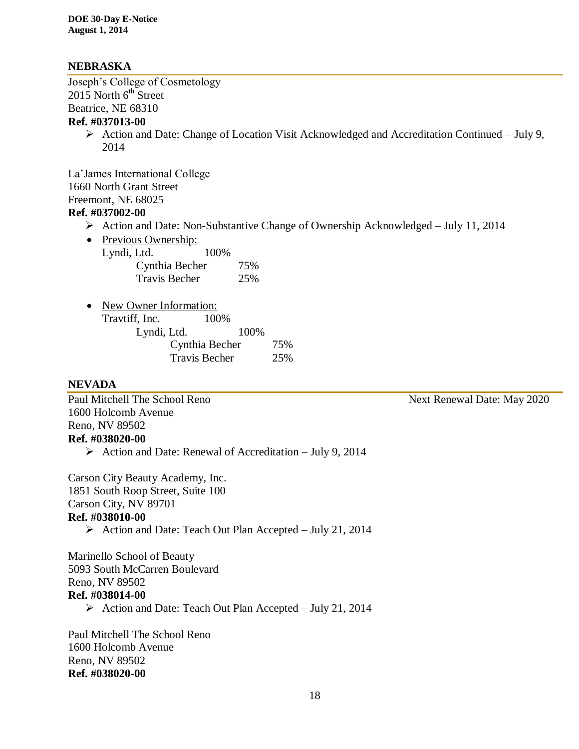### **NEBRASKA**

Joseph's College of Cosmetology  $2015$  North  $6<sup>th</sup>$  Street Beatrice, NE 68310

### **Ref. #037013-00**

 $\triangleright$  Action and Date: Change of Location Visit Acknowledged and Accreditation Continued – July 9, 2014

La'James International College 1660 North Grant Street Freemont, NE 68025 **Ref. #037002-00**

- Action and Date: Non-Substantive Change of Ownership Acknowledged July 11, 2014
- Previous Ownership:

| Lyndi, Ltd.          | 100% |  |
|----------------------|------|--|
| Cynthia Becher       | 75%  |  |
| <b>Travis Becher</b> | 25%  |  |

| $\bullet$ | New Owner Information: |                      |      |     |
|-----------|------------------------|----------------------|------|-----|
|           | Travtiff, Inc.         | 100%                 |      |     |
|           | Lyndi, Ltd.            |                      | 100% |     |
|           |                        | Cynthia Becher       |      | 75% |
|           |                        | <b>Travis Becher</b> |      | 25% |

#### **NEVADA**

Paul Mitchell The School Reno Next Renewal Date: May 2020 1600 Holcomb Avenue Reno, NV 89502 **Ref. #038020-00**

 $\triangleright$  Action and Date: Renewal of Accreditation – July 9, 2014

Carson City Beauty Academy, Inc. 1851 South Roop Street, Suite 100 Carson City, NV 89701 **Ref. #038010-00**

Action and Date: Teach Out Plan Accepted – July 21, 2014

Marinello School of Beauty 5093 South McCarren Boulevard Reno, NV 89502

### **Ref. #038014-00**

Action and Date: Teach Out Plan Accepted – July 21, 2014

Paul Mitchell The School Reno 1600 Holcomb Avenue Reno, NV 89502 **Ref. #038020-00**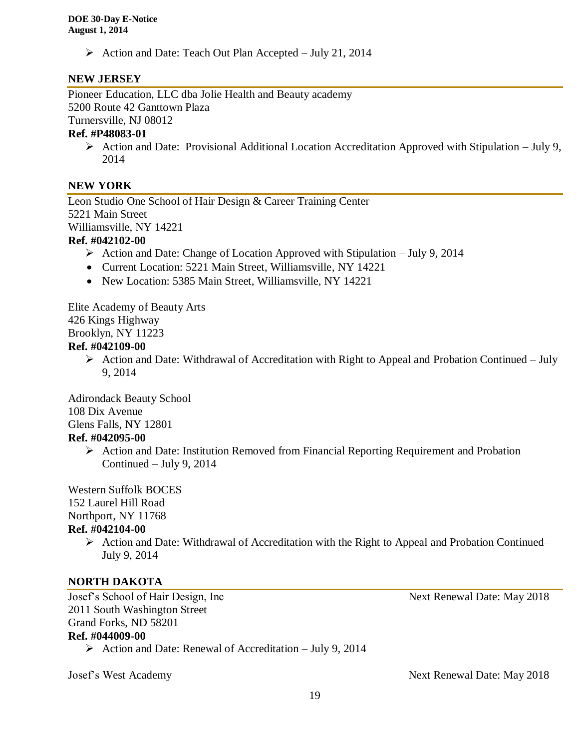$\triangleright$  Action and Date: Teach Out Plan Accepted – July 21, 2014

### **NEW JERSEY**

Pioneer Education, LLC dba Jolie Health and Beauty academy 5200 Route 42 Ganttown Plaza

Turnersville, NJ 08012

### **Ref. #P48083-01**

 $\triangleright$  Action and Date: Provisional Additional Location Accreditation Approved with Stipulation – July 9, 2014

#### **NEW YORK**

Leon Studio One School of Hair Design & Career Training Center 5221 Main Street Williamsville, NY 14221

#### **Ref. #042102-00**

- $\triangleright$  Action and Date: Change of Location Approved with Stipulation July 9, 2014
- Current Location: 5221 Main Street, Williamsville, NY 14221
- New Location: 5385 Main Street, Williamsville, NY 14221

Elite Academy of Beauty Arts 426 Kings Highway Brooklyn, NY 11223

#### **Ref. #042109-00**

 $\triangleright$  Action and Date: Withdrawal of Accreditation with Right to Appeal and Probation Continued – July 9, 2014

Adirondack Beauty School 108 Dix Avenue Glens Falls, NY 12801 **Ref. #042095-00**

> $\triangleright$  Action and Date: Institution Removed from Financial Reporting Requirement and Probation Continued – July 9, 2014

Western Suffolk BOCES

152 Laurel Hill Road

Northport, NY 11768

#### **Ref. #042104-00**

 $\triangleright$  Action and Date: Withdrawal of Accreditation with the Right to Appeal and Probation Continued– July 9, 2014

#### **NORTH DAKOTA**

Josef's School of Hair Design, Inc Next Renewal Date: May 2018 2011 South Washington Street Grand Forks, ND 58201 **Ref. #044009-00**

 $\triangleright$  Action and Date: Renewal of Accreditation – July 9, 2014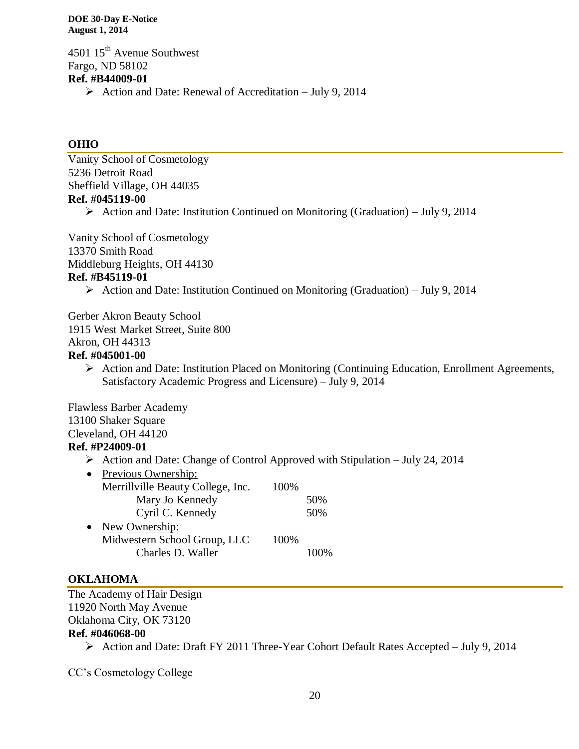4501 15<sup>th</sup> Avenue Southwest Fargo, ND 58102 **Ref. #B44009-01** Action and Date: Renewal of Accreditation – July 9, 2014

#### **OHIO**

Vanity School of Cosmetology 5236 Detroit Road Sheffield Village, OH 44035 **Ref. #045119-00**

 $\triangleright$  Action and Date: Institution Continued on Monitoring (Graduation) – July 9, 2014

Vanity School of Cosmetology 13370 Smith Road Middleburg Heights, OH 44130 **Ref. #B45119-01**

 $\triangleright$  Action and Date: Institution Continued on Monitoring (Graduation) – July 9, 2014

Gerber Akron Beauty School 1915 West Market Street, Suite 800 Akron, OH 44313 **Ref. #045001-00**

> Action and Date: Institution Placed on Monitoring (Continuing Education, Enrollment Agreements, Satisfactory Academic Progress and Licensure) – July 9, 2014

Flawless Barber Academy 13100 Shaker Square Cleveland, OH 44120 **Ref. #P24009-01**

 $\triangleright$  Action and Date: Change of Control Approved with Stipulation – July 24, 2014

| Merrillville Beauty College, Inc. | 100%                |     |
|-----------------------------------|---------------------|-----|
| Mary Jo Kennedy                   |                     | 50% |
| Cyril C. Kennedy                  |                     | 50% |
| New Ownership:                    |                     |     |
| Midwestern School Group, LLC      | 100%                |     |
| Charles D. Waller                 |                     |     |
|                                   | Previous Ownership: |     |

#### **OKLAHOMA**

The Academy of Hair Design 11920 North May Avenue Oklahoma City, OK 73120 **Ref. #046068-00**

Action and Date: Draft FY 2011 Three-Year Cohort Default Rates Accepted – July 9, 2014

CC's Cosmetology College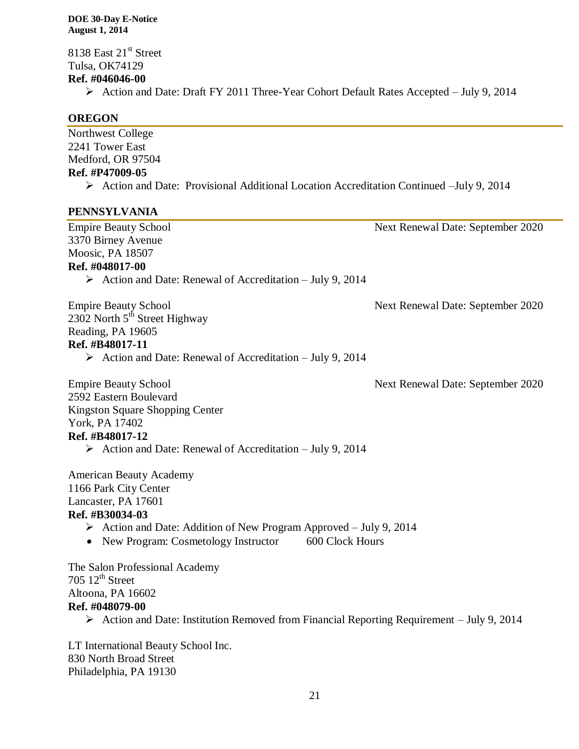8138 East 21<sup>st</sup> Street Tulsa, OK74129 **Ref. #046046-00**

Action and Date: Draft FY 2011 Three-Year Cohort Default Rates Accepted – July 9, 2014

### **OREGON**

Northwest College 2241 Tower East Medford, OR 97504 **Ref. #P47009-05** Action and Date: Provisional Additional Location Accreditation Continued –July 9, 2014

### **PENNSYLVANIA**

| <b>Empire Beauty School</b>                                                                                                                                                                                                                        | Next Renewal Date: September 2020 |
|----------------------------------------------------------------------------------------------------------------------------------------------------------------------------------------------------------------------------------------------------|-----------------------------------|
| 3370 Birney Avenue                                                                                                                                                                                                                                 |                                   |
| Moosic, PA 18507                                                                                                                                                                                                                                   |                                   |
| Ref. #048017-00                                                                                                                                                                                                                                    |                                   |
| $\triangleright$ Action and Date: Renewal of Accreditation – July 9, 2014                                                                                                                                                                          |                                   |
| <b>Empire Beauty School</b><br>2302 North 5 <sup>th</sup> Street Highway<br>Reading, PA 19605<br>Ref. #B48017-11<br>$\triangleright$ Action and Date: Renewal of Accreditation – July 9, 2014                                                      | Next Renewal Date: September 2020 |
| <b>Empire Beauty School</b><br>2592 Eastern Boulevard<br><b>Kingston Square Shopping Center</b><br>York, PA 17402<br>Ref. #B48017-12<br>$\triangleright$ Action and Date: Renewal of Accreditation – July 9, 2014                                  | Next Renewal Date: September 2020 |
| <b>American Beauty Academy</b><br>1166 Park City Center<br>Lancaster, PA 17601<br>Ref. #B30034-03<br>$\triangleright$ Action and Date: Addition of New Program Approved – July 9, 2014<br>600 Clock Hours<br>• New Program: Cosmetology Instructor |                                   |
| The Salon Professional Academy<br>705 $12^{th}$ Street<br>Altoona, PA 16602<br>Ref. #048079-00<br>$\triangleright$ Action and Date: Institution Removed from Financial Reporting Requirement – July 9, 2014                                        |                                   |
| LT International Beauty School Inc.                                                                                                                                                                                                                |                                   |

830 North Broad Street Philadelphia, PA 19130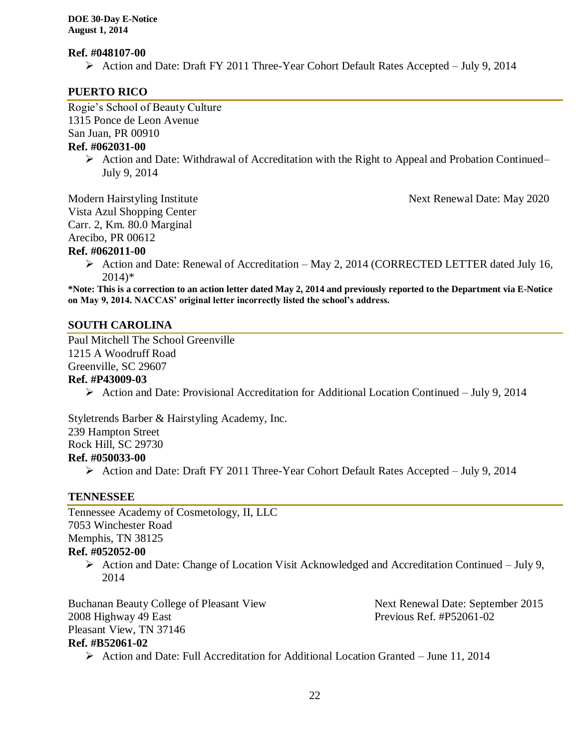#### **Ref. #048107-00**

Action and Date: Draft FY 2011 Three-Year Cohort Default Rates Accepted – July 9, 2014

#### **PUERTO RICO**

Rogie's School of Beauty Culture 1315 Ponce de Leon Avenue

San Juan, PR 00910

## **Ref. #062031-00**

 $\triangleright$  Action and Date: Withdrawal of Accreditation with the Right to Appeal and Probation Continued– July 9, 2014

Vista Azul Shopping Center

Carr. 2, Km. 80.0 Marginal

Arecibo, PR 00612

### **Ref. #062011-00**

 Action and Date: Renewal of Accreditation – May 2, 2014 (CORRECTED LETTER dated July 16, 2014)\*

**\*Note: This is a correction to an action letter dated May 2, 2014 and previously reported to the Department via E-Notice on May 9, 2014. NACCAS' original letter incorrectly listed the school's address.** 

### **SOUTH CAROLINA**

Paul Mitchell The School Greenville 1215 A Woodruff Road Greenville, SC 29607

### **Ref. #P43009-03**

Action and Date: Provisional Accreditation for Additional Location Continued – July 9, 2014

Styletrends Barber & Hairstyling Academy, Inc. 239 Hampton Street Rock Hill, SC 29730 **Ref. #050033-00**

Action and Date: Draft FY 2011 Three-Year Cohort Default Rates Accepted – July 9, 2014

### **TENNESSEE**

Tennessee Academy of Cosmetology, II, LLC 7053 Winchester Road Memphis, TN 38125

### **Ref. #052052-00**

 $\triangleright$  Action and Date: Change of Location Visit Acknowledged and Accreditation Continued – July 9, 2014

Buchanan Beauty College of Pleasant View Next Renewal Date: September 2015 2008 Highway 49 East Previous Ref. #P52061-02 Pleasant View, TN 37146

**Ref. #B52061-02**

- 
- Action and Date: Full Accreditation for Additional Location Granted June 11, 2014

Modern Hairstyling Institute **Next Renewal Date: May 2020**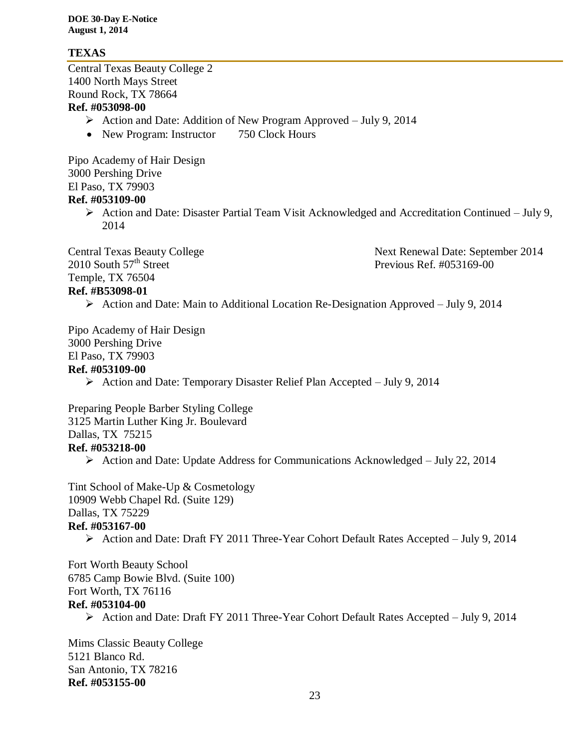### **TEXAS**

Central Texas Beauty College 2 1400 North Mays Street Round Rock, TX 78664 **Ref. #053098-00**

- $\triangleright$  Action and Date: Addition of New Program Approved July 9, 2014
- New Program: Instructor 750 Clock Hours

Pipo Academy of Hair Design 3000 Pershing Drive El Paso, TX 79903 **Ref. #053109-00**

> Action and Date: Disaster Partial Team Visit Acknowledged and Accreditation Continued – July 9, 2014

2010 South 57<sup>th</sup> Street Previous Ref. #053169-00 Temple, TX 76504

Central Texas Beauty College Next Renewal Date: September 2014

### **Ref. #B53098-01**

Action and Date: Main to Additional Location Re-Designation Approved – July 9, 2014

Pipo Academy of Hair Design 3000 Pershing Drive El Paso, TX 79903 **Ref. #053109-00**

 $\triangleright$  Action and Date: Temporary Disaster Relief Plan Accepted – July 9, 2014

Preparing People Barber Styling College 3125 Martin Luther King Jr. Boulevard Dallas, TX 75215 **Ref. #053218-00**

Action and Date: Update Address for Communications Acknowledged – July 22, 2014

Tint School of Make-Up & Cosmetology 10909 Webb Chapel Rd. (Suite 129) Dallas, TX 75229 **Ref. #053167-00**

Action and Date: Draft FY 2011 Three-Year Cohort Default Rates Accepted – July 9, 2014

Fort Worth Beauty School 6785 Camp Bowie Blvd. (Suite 100) Fort Worth, TX 76116 **Ref. #053104-00**

Action and Date: Draft FY 2011 Three-Year Cohort Default Rates Accepted – July 9, 2014

Mims Classic Beauty College 5121 Blanco Rd. San Antonio, TX 78216 **Ref. #053155-00**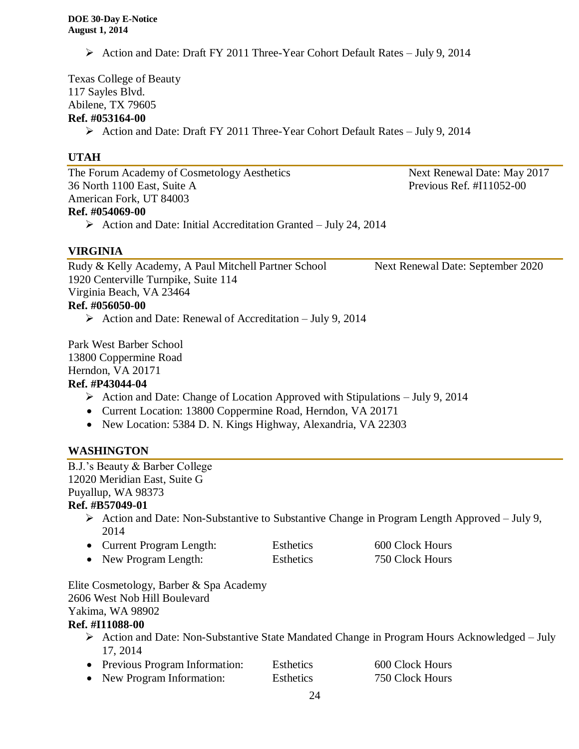Action and Date: Draft FY 2011 Three-Year Cohort Default Rates – July 9, 2014

Texas College of Beauty 117 Sayles Blvd. Abilene, TX 79605 **Ref. #053164-00**

Action and Date: Draft FY 2011 Three-Year Cohort Default Rates – July 9, 2014

### **UTAH**

The Forum Academy of Cosmetology Aesthetics Next Renewal Date: May 2017 36 North 1100 East, Suite A Previous Ref. #I11052-00 American Fork, UT 84003 **Ref. #054069-00**

 $\triangleright$  Action and Date: Initial Accreditation Granted – July 24, 2014

### **VIRGINIA**

Rudy & Kelly Academy, A Paul Mitchell Partner School Next Renewal Date: September 2020 1920 Centerville Turnpike, Suite 114 Virginia Beach, VA 23464 **Ref. #056050-00**

 $\triangleright$  Action and Date: Renewal of Accreditation – July 9, 2014

Park West Barber School 13800 Coppermine Road

Herndon, VA 20171

### **Ref. #P43044-04**

- $\triangleright$  Action and Date: Change of Location Approved with Stipulations July 9, 2014
- Current Location: 13800 Coppermine Road, Herndon, VA 20171
- New Location: 5384 D. N. Kings Highway, Alexandria, VA 22303

### **WASHINGTON**

B.J.'s Beauty & Barber College 12020 Meridian East, Suite G Puyallup, WA 98373

### **Ref. #B57049-01**

 $\triangleright$  Action and Date: Non-Substantive to Substantive Change in Program Length Approved – July 9, 2014

| • Current Program Length: | <b>Esthetics</b> | 600 Clock Hours |
|---------------------------|------------------|-----------------|
| • New Program Length:     | <b>Esthetics</b> | 750 Clock Hours |

Elite Cosmetology, Barber & Spa Academy 2606 West Nob Hill Boulevard Yakima, WA 98902

### **Ref. #I11088-00**

 Action and Date: Non-Substantive State Mandated Change in Program Hours Acknowledged – July 17, 2014

| • Previous Program Information: | Esthetics | 600 Clock Hours |
|---------------------------------|-----------|-----------------|
| • New Program Information:      | Esthetics | 750 Clock Hours |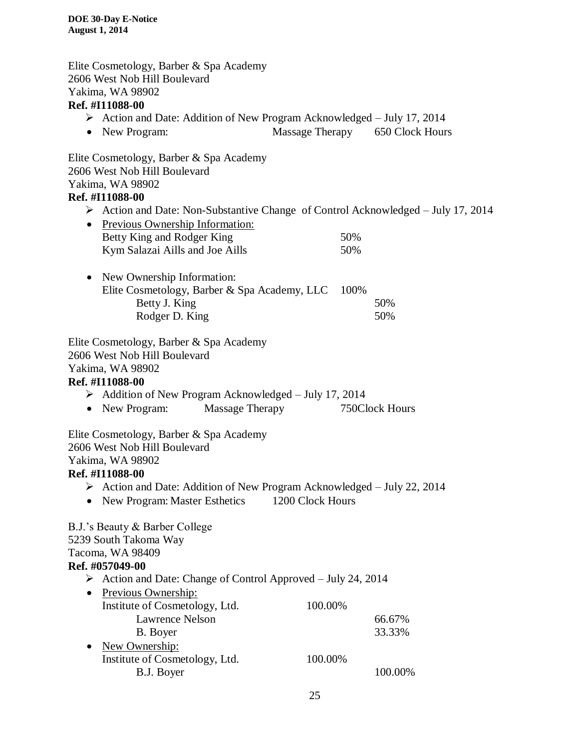Elite Cosmetology, Barber & Spa Academy 2606 West Nob Hill Boulevard Yakima, WA 98902

### **Ref. #I11088-00**

- $\triangleright$  Action and Date: Addition of New Program Acknowledged July 17, 2014
- New Program: Massage Therapy 650 Clock Hours

Elite Cosmetology, Barber & Spa Academy 2606 West Nob Hill Boulevard Yakima, WA 98902

### **Ref. #I11088-00**

 $\triangleright$  Action and Date: Non-Substantive Change of Control Acknowledged – July 17, 2014

| • Previous Ownership Information: |      |
|-----------------------------------|------|
| Betty King and Rodger King        | .50% |
| Kym Salazai Aills and Joe Aills   | .50% |

• New Ownership Information: Elite Cosmetology, Barber & Spa Academy, LLC 100% Betty J. King 50% Rodger D. King 50%

Elite Cosmetology, Barber & Spa Academy 2606 West Nob Hill Boulevard Yakima, WA 98902 **Ref. #I11088-00**  $\blacktriangleright$  Addition of New Program Acknowledged – July 17, 2014 • New Program: Massage Therapy 750Clock Hours Elite Cosmetology, Barber & Spa Academy 2606 West Nob Hill Boulevard Yakima, WA 98902 **Ref. #I11088-00** Action and Date: Addition of New Program Acknowledged – July 22, 2014 • New Program: Master Esthetics 1200 Clock Hours B.J.'s Beauty & Barber College 5239 South Takoma Way Tacoma, WA 98409 **Ref. #057049-00**  $\triangleright$  Action and Date: Change of Control Approved – July 24, 2014 • Previous Ownership: Institute of Cosmetology, Ltd. 100.00% Lawrence Nelson 66.67% B. Boyer 33.33% • New Ownership: Institute of Cosmetology, Ltd. 100.00% B.J. Boyer 100.00%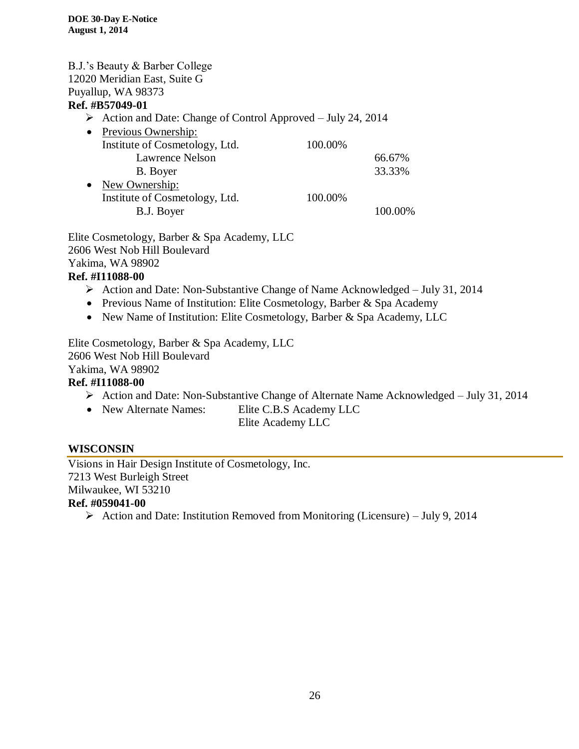|           | B.J.'s Beauty & Barber College                                               |         |         |
|-----------|------------------------------------------------------------------------------|---------|---------|
|           | 12020 Meridian East, Suite G                                                 |         |         |
|           | Puyallup, WA 98373                                                           |         |         |
|           | Ref. #B57049-01                                                              |         |         |
|           | $\triangleright$ Action and Date: Change of Control Approved – July 24, 2014 |         |         |
| $\bullet$ | Previous Ownership:                                                          |         |         |
|           | Institute of Cosmetology, Ltd.                                               | 100.00% |         |
|           | <b>Lawrence Nelson</b>                                                       |         | 66.67%  |
|           | B. Boyer                                                                     |         | 33.33%  |
|           | • New Ownership:                                                             |         |         |
|           | Institute of Cosmetology, Ltd.                                               | 100.00% |         |
|           | B.J. Boyer                                                                   |         | 100.00% |
|           |                                                                              |         |         |

Elite Cosmetology, Barber & Spa Academy, LLC 2606 West Nob Hill Boulevard Yakima, WA 98902

### **Ref. #I11088-00**

- Action and Date: Non-Substantive Change of Name Acknowledged July 31, 2014
- Previous Name of Institution: Elite Cosmetology, Barber & Spa Academy
- New Name of Institution: Elite Cosmetology, Barber & Spa Academy, LLC

Elite Cosmetology, Barber & Spa Academy, LLC 2606 West Nob Hill Boulevard Yakima, WA 98902 **Ref. #I11088-00**

- Action and Date: Non-Substantive Change of Alternate Name Acknowledged July 31, 2014
- New Alternate Names: Elite C.B.S Academy LLC

Elite Academy LLC

### **WISCONSIN**

Visions in Hair Design Institute of Cosmetology, Inc. 7213 West Burleigh Street Milwaukee, WI 53210 **Ref. #059041-00**

Action and Date: Institution Removed from Monitoring (Licensure) – July 9, 2014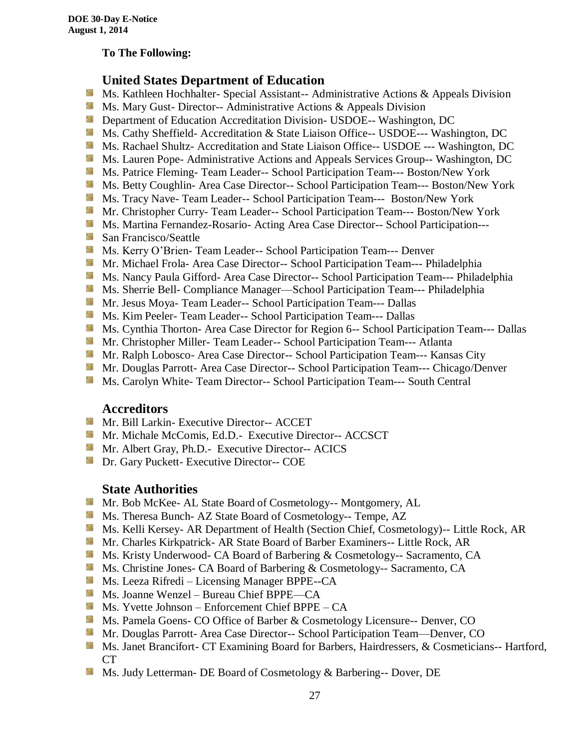#### **To The Following:**

### **United States Department of Education**

- **Ms. Kathleen Hochhalter- Special Assistant-- Administrative Actions & Appeals Division**
- **Ms.** Mary Gust- Director-- Administrative Actions  $\&$  Appeals Division
- **Department of Education Accreditation Division- USDOE-- Washington, DC**
- Ms. Cathy Sheffield- Accreditation & State Liaison Office-- USDOE--- Washington, DC
- **Ms. Rachael Shultz- Accreditation and State Liaison Office-- USDOE --- Washington, DC**
- **Ms. Lauren Pope- Administrative Actions and Appeals Services Group-- Washington, DC**
- **Ms. Patrice Fleming- Team Leader-- School Participation Team--- Boston/New York**
- **MS. Betty Coughlin- Area Case Director-- School Participation Team--- Boston/New York**
- Ms. Tracy Nave-Team Leader-- School Participation Team--- Boston/New York
- Mr. Christopher Curry- Team Leader-- School Participation Team--- Boston/New York
- Ms. Martina Fernandez-Rosario- Acting Area Case Director-- School Participation---
- **San Francisco/Seattle**
- **Ms. Kerry O'Brien- Team Leader-- School Participation Team--- Denver**
- Mr. Michael Frola- Area Case Director-- School Participation Team--- Philadelphia
- **Ms. Nancy Paula Gifford- Area Case Director-- School Participation Team--- Philadelphia**
- Ms. Sherrie Bell- Compliance Manager—School Participation Team--- Philadelphia
- Mr. Jesus Moya- Team Leader-- School Participation Team--- Dallas
- **MS. Kim Peeler- Team Leader-- School Participation Team--- Dallas**
- **Ms. Cynthia Thorton- Area Case Director for Region 6-- School Participation Team--- Dallas**
- **Mr.** Christopher Miller-Team Leader-- School Participation Team--- Atlanta
- **Mr. Ralph Lobosco- Area Case Director-- School Participation Team--- Kansas City**
- Mr. Douglas Parrott- Area Case Director-- School Participation Team--- Chicago/Denver
- Ms. Carolyn White-Team Director-- School Participation Team--- South Central

#### **Accreditors**

- **Mr. Bill Larkin- Executive Director-- ACCET**
- **Mr. Michale McComis, Ed.D.- Executive Director-- ACCSCT**
- Mr. Albert Gray, Ph.D.- Executive Director-- ACICS
- **Dr.** Gary Puckett- Executive Director-- COE

### **State Authorities**

- Mr. Bob McKee- AL State Board of Cosmetology-- Montgomery, AL
- Ms. Theresa Bunch- AZ State Board of Cosmetology-- Tempe, AZ
- Ms. Kelli Kersey- AR Department of Health (Section Chief, Cosmetology)-- Little Rock, AR
- Mr. Charles Kirkpatrick- AR State Board of Barber Examiners-- Little Rock, AR
- Ms. Kristy Underwood- CA Board of Barbering & Cosmetology-- Sacramento, CA
- Ms. Christine Jones- CA Board of Barbering & Cosmetology-- Sacramento, CA
- Ms. Leeza Rifredi Licensing Manager BPPE--CA
- Ms. Joanne Wenzel Bureau Chief BPPE—CA
- Ms. Yvette Johnson Enforcement Chief BPPE CA
- Ms. Pamela Goens- CO Office of Barber & Cosmetology Licensure-- Denver, CO
- Mr. Douglas Parrott- Area Case Director-- School Participation Team—Denver, CO
- Ms. Janet Brancifort- CT Examining Board for Barbers, Hairdressers, & Cosmeticians-- Hartford, CT
- Ms. Judy Letterman- DE Board of Cosmetology & Barbering-- Dover, DE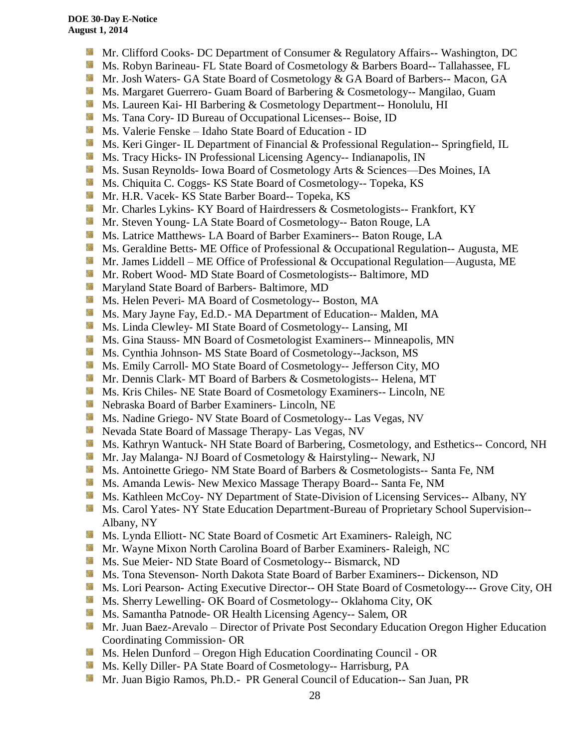- **Mr.** Clifford Cooks- DC Department of Consumer & Regulatory Affairs-- Washington, DC
- Ms. Robyn Barineau- FL State Board of Cosmetology & Barbers Board-- Tallahassee, FL
- Mr. Josh Waters- GA State Board of Cosmetology & GA Board of Barbers-- Macon, GA
- **Ms. Margaret Guerrero- Guam Board of Barbering & Cosmetology-- Mangilao, Guam**
- **Ms. Laureen Kai- HI Barbering & Cosmetology Department-- Honolulu, HI**
- **Ms.** Tana Cory- ID Bureau of Occupational Licenses-- Boise, ID
- Ms. Valerie Fenske Idaho State Board of Education ID
- Ms. Keri Ginger- IL Department of Financial & Professional Regulation-- Springfield, IL
- Side. Ms. Tracy Hicks- IN Professional Licensing Agency-- Indianapolis, IN
- Ms. Susan Reynolds- Iowa Board of Cosmetology Arts & Sciences—Des Moines, IA
- **Ms.** Chiquita C. Coggs- KS State Board of Cosmetology-- Topeka, KS
- Sila Mr. H.R. Vacek- KS State Barber Board-- Topeka, KS
- **Mr.** Charles Lykins- KY Board of Hairdressers & Cosmetologists-- Frankfort, KY
- Mr. Steven Young- LA State Board of Cosmetology-- Baton Rouge, LA
- **Ms.** Latrice Matthews- LA Board of Barber Examiners-- Baton Rouge, LA
- **Ms.** Geraldine Betts- ME Office of Professional & Occupational Regulation-- Augusta, ME
- **Mr.** James Liddell ME Office of Professional & Occupational Regulation—Augusta, ME
- Mr. Robert Wood- MD State Board of Cosmetologists-- Baltimore, MD
- **Maryland State Board of Barbers- Baltimore, MD**
- Ms. Helen Peveri- MA Board of Cosmetology-- Boston, MA
- Ms. Mary Jayne Fay, Ed.D.- MA Department of Education-- Malden, MA
- Sila Ms. Linda Clewley- MI State Board of Cosmetology-- Lansing, MI
- **MS.** Gina Stauss- MN Board of Cosmetologist Examiners-- Minneapolis, MN
- Ms. Cynthia Johnson- MS State Board of Cosmetology--Jackson, MS
- 59 Ms. Emily Carroll- MO State Board of Cosmetology-- Jefferson City, MO
- Mr. Dennis Clark- MT Board of Barbers & Cosmetologists-- Helena, MT
- **MS.** Kris Chiles- NE State Board of Cosmetology Examiners-- Lincoln, NE
- Nebraska Board of Barber Examiners- Lincoln, NE
- **Ms. Nadine Griego- NV State Board of Cosmetology-- Las Vegas, NV**
- **Nevada State Board of Massage Therapy- Las Vegas, NV**
- Ms. Kathryn Wantuck- NH State Board of Barbering, Cosmetology, and Esthetics-- Concord, NH
- Mr. Jay Malanga- NJ Board of Cosmetology & Hairstyling-- Newark, NJ
- Ms. Antoinette Griego- NM State Board of Barbers & Cosmetologists-- Santa Fe, NM
- **Ms.** Amanda Lewis- New Mexico Massage Therapy Board-- Santa Fe, NM
- Ms. Kathleen McCoy- NY Department of State-Division of Licensing Services-- Albany, NY
- Ms. Carol Yates- NY State Education Department-Bureau of Proprietary School Supervision--Albany, NY
- Sila Ms. Lynda Elliott- NC State Board of Cosmetic Art Examiners- Raleigh, NC
- **Mr. Wayne Mixon North Carolina Board of Barber Examiners- Raleigh, NC**
- **Ms. Sue Meier- ND State Board of Cosmetology-- Bismarck, ND**
- Ms. Tona Stevenson- North Dakota State Board of Barber Examiners-- Dickenson, ND
- Ms. Lori Pearson- Acting Executive Director-- OH State Board of Cosmetology--- Grove City, OH
- Ms. Sherry Lewelling- OK Board of Cosmetology-- Oklahoma City, OK
- **Ms. Samantha Patnode- OR Health Licensing Agency-- Salem, OR**
- Mr. Juan Baez-Arevalo Director of Private Post Secondary Education Oregon Higher Education Coordinating Commission- OR
- Ms. Helen Dunford Oregon High Education Coordinating Council OR
- Ms. Kelly Diller- PA State Board of Cosmetology-- Harrisburg, PA
- Mr. Juan Bigio Ramos, Ph.D.- PR General Council of Education-- San Juan, PR